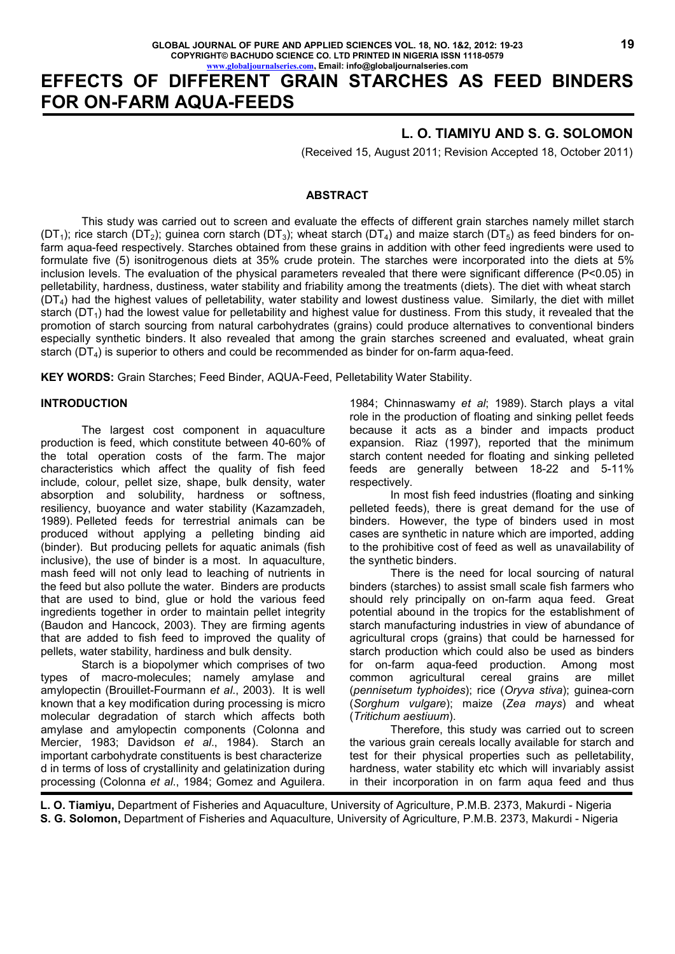# **EFFECTS OF DIFFERENT GRAIN STARCHES AS FEED BINDERS FOR ON-FARM AQUA-FEEDS**

## **L. O. TIAMIYU AND S. G. SOLOMON**

(Received 15, August 2011; Revision Accepted 18, October 2011)

#### **ABSTRACT**

This study was carried out to screen and evaluate the effects of different grain starches namely millet starch (DT<sub>1</sub>); rice starch (DT<sub>2</sub>); guinea corn starch (DT<sub>3</sub>); wheat starch (DT<sub>4</sub>) and maize starch (DT<sub>5</sub>) as feed binders for onfarm aqua-feed respectively. Starches obtained from these grains in addition with other feed ingredients were used to formulate five (5) isonitrogenous diets at 35% crude protein. The starches were incorporated into the diets at 5% inclusion levels. The evaluation of the physical parameters revealed that there were significant difference (P<0.05) in pelletability, hardness, dustiness, water stability and friability among the treatments (diets). The diet with wheat starch  $(DT<sub>4</sub>)$  had the highest values of pelletability, water stability and lowest dustiness value. Similarly, the diet with millet starch ( $DT_1$ ) had the lowest value for pelletability and highest value for dustiness. From this study, it revealed that the promotion of starch sourcing from natural carbohydrates (grains) could produce alternatives to conventional binders especially synthetic binders. It also revealed that among the grain starches screened and evaluated, wheat grain starch ( $DT<sub>4</sub>$ ) is superior to others and could be recommended as binder for on-farm aqua-feed.

**KEY WORDS:** Grain Starches; Feed Binder, AQUA-Feed, Pelletability Water Stability.

#### **INTRODUCTION**

The largest cost component in aquaculture production is feed, which constitute between 40-60% of the total operation costs of the farm. The major characteristics which affect the quality of fish feed include, colour, pellet size, shape, bulk density, water absorption and solubility, hardness or softness, resiliency, buoyance and water stability (Kazamzadeh, 1989). Pelleted feeds for terrestrial animals can be produced without applying a pelleting binding aid (binder). But producing pellets for aquatic animals (fish inclusive), the use of binder is a most. In aquaculture, mash feed will not only lead to leaching of nutrients in the feed but also pollute the water. Binders are products that are used to bind, glue or hold the various feed ingredients together in order to maintain pellet integrity (Baudon and Hancock, 2003). They are firming agents that are added to fish feed to improved the quality of pellets, water stability, hardiness and bulk density.

Starch is a biopolymer which comprises of two types of macro-molecules; namely amylase and amylopectin (Brouillet-Fourmann *et al*., 2003). It is well known that a key modification during processing is micro molecular degradation of starch which affects both amylase and amylopectin components (Colonna and Mercier, 1983; Davidson *et al*., 1984). Starch an important carbohydrate constituents is best characterize d in terms of loss of crystallinity and gelatinization during processing (Colonna *et al*., 1984; Gomez and Aguilera.

1984; Chinnaswamy *et al*; 1989). Starch plays a vital role in the production of floating and sinking pellet feeds because it acts as a binder and impacts product expansion. Riaz (1997), reported that the minimum starch content needed for floating and sinking pelleted feeds are generally between 18-22 and 5-11% respectively.

In most fish feed industries (floating and sinking pelleted feeds), there is great demand for the use of binders. However, the type of binders used in most cases are synthetic in nature which are imported, adding to the prohibitive cost of feed as well as unavailability of the synthetic binders.

There is the need for local sourcing of natural binders (starches) to assist small scale fish farmers who should rely principally on on-farm aqua feed. Great potential abound in the tropics for the establishment of starch manufacturing industries in view of abundance of agricultural crops (grains) that could be harnessed for starch production which could also be used as binders for on-farm aqua-feed production. Among most common agricultural cereal grains are millet agricultural cereal grains are millet (*pennisetum typhoides*); rice (*Oryva stiva*); guinea-corn (*Sorghum vulgare*); maize (*Zea mays*) and wheat (*Tritichum aestiuum*).

Therefore, this study was carried out to screen the various grain cereals locally available for starch and test for their physical properties such as pelletability, hardness, water stability etc which will invariably assist in their incorporation in on farm aqua feed and thus

**L. O. Tiamiyu,** Department of Fisheries and Aquaculture, University of Agriculture, P.M.B. 2373, Makurdi - Nigeria **S. G. Solomon,** Department of Fisheries and Aquaculture, University of Agriculture, P.M.B. 2373, Makurdi - Nigeria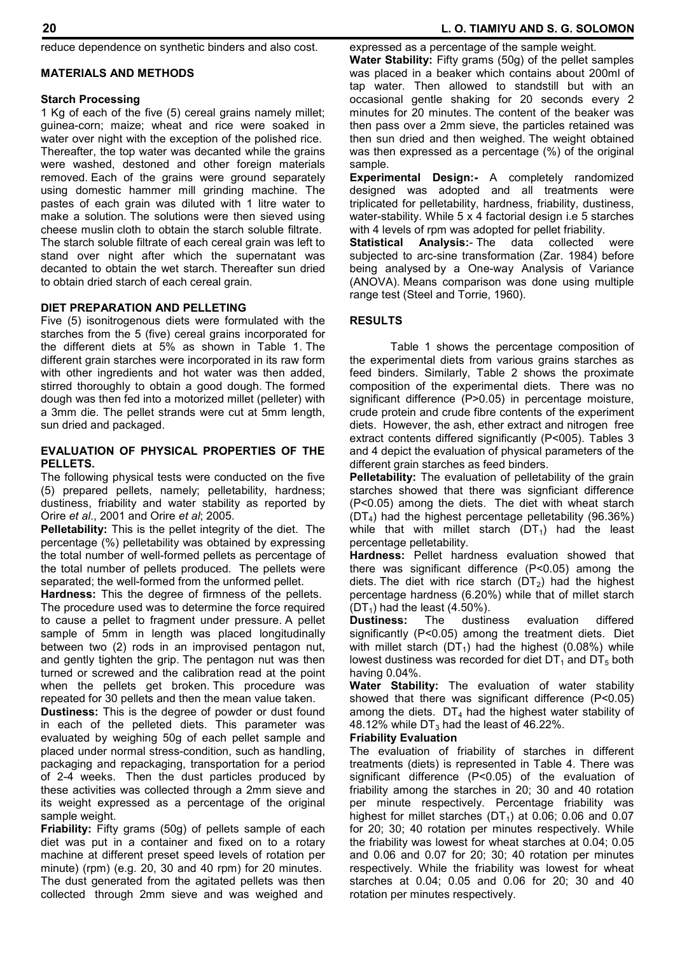reduce dependence on synthetic binders and also cost.

### **MATERIALS AND METHODS**

### **Starch Processing**

1 Kg of each of the five (5) cereal grains namely millet; guinea-corn; maize; wheat and rice were soaked in water over night with the exception of the polished rice. Thereafter, the top water was decanted while the grains were washed, destoned and other foreign materials removed. Each of the grains were ground separately using domestic hammer mill grinding machine. The pastes of each grain was diluted with 1 litre water to make a solution. The solutions were then sieved using cheese muslin cloth to obtain the starch soluble filtrate. The starch soluble filtrate of each cereal grain was left to stand over night after which the supernatant was decanted to obtain the wet starch. Thereafter sun dried to obtain dried starch of each cereal grain.

#### **DIET PREPARATION AND PELLETING**

Five (5) isonitrogenous diets were formulated with the starches from the 5 (five) cereal grains incorporated for the different diets at 5% as shown in Table 1. The different grain starches were incorporated in its raw form with other ingredients and hot water was then added, stirred thoroughly to obtain a good dough. The formed dough was then fed into a motorized millet (pelleter) with a 3mm die. The pellet strands were cut at 5mm length, sun dried and packaged.

#### **EVALUATION OF PHYSICAL PROPERTIES OF THE PELLETS.**

The following physical tests were conducted on the five (5) prepared pellets, namely; pelletability, hardness; dustiness, friability and water stability as reported by Orire *et al*., 2001 and Orire *et al*; 2005.

**Pelletability:** This is the pellet integrity of the diet. The percentage (%) pelletability was obtained by expressing the total number of well-formed pellets as percentage of the total number of pellets produced. The pellets were separated; the well-formed from the unformed pellet.

**Hardness:** This the degree of firmness of the pellets. The procedure used was to determine the force required to cause a pellet to fragment under pressure. A pellet sample of 5mm in length was placed longitudinally between two (2) rods in an improvised pentagon nut, and gently tighten the grip. The pentagon nut was then turned or screwed and the calibration read at the point when the pellets get broken. This procedure was repeated for 30 pellets and then the mean value taken.

**Dustiness:** This is the degree of powder or dust found in each of the pelleted diets. This parameter was evaluated by weighing 50g of each pellet sample and placed under normal stress-condition, such as handling, packaging and repackaging, transportation for a period of 2-4 weeks. Then the dust particles produced by these activities was collected through a 2mm sieve and its weight expressed as a percentage of the original sample weight.

**Friability:** Fifty grams (50g) of pellets sample of each diet was put in a container and fixed on to a rotary machine at different preset speed levels of rotation per minute) (rpm) (e.g. 20, 30 and 40 rpm) for 20 minutes. The dust generated from the agitated pellets was then collected through 2mm sieve and was weighed and

#### **20 L. O. TIAMIYU AND S. G. SOLOMON**

expressed as a percentage of the sample weight.

**Water Stability:** Fifty grams (50g) of the pellet samples was placed in a beaker which contains about 200ml of tap water. Then allowed to standstill but with an occasional gentle shaking for 20 seconds every 2 minutes for 20 minutes. The content of the beaker was then pass over a 2mm sieve, the particles retained was then sun dried and then weighed. The weight obtained was then expressed as a percentage (%) of the original sample.

**Experimental Design:-** A completely randomized designed was adopted and all treatments were triplicated for pelletability, hardness, friability, dustiness, water-stability. While 5 x 4 factorial design i.e 5 starches with 4 levels of rpm was adopted for pellet friability.

**Statistical Analysis:**- The data collected were subjected to arc-sine transformation (Zar. 1984) before being analysed by a One-way Analysis of Variance (ANOVA). Means comparison was done using multiple range test (Steel and Torrie, 1960).

#### **RESULTS**

Table 1 shows the percentage composition of the experimental diets from various grains starches as feed binders. Similarly, Table 2 shows the proximate composition of the experimental diets. There was no significant difference (P>0.05) in percentage moisture, crude protein and crude fibre contents of the experiment diets. However, the ash, ether extract and nitrogen free extract contents differed significantly (P<005). Tables 3 and 4 depict the evaluation of physical parameters of the different grain starches as feed binders.

**Pelletability:** The evaluation of pelletability of the grain starches showed that there was signficiant difference (P<0.05) among the diets. The diet with wheat starch  $(DT<sub>4</sub>)$  had the highest percentage pelletability (96.36%) while that with millet starch  $(DT_1)$  had the least percentage pelletability.

**Hardness:** Pellet hardness evaluation showed that there was significant difference (P<0.05) among the diets. The diet with rice starch  $(DT<sub>2</sub>)$  had the highest percentage hardness (6.20%) while that of millet starch  $(DT_1)$  had the least (4.50%).<br>**Dustiness:** The dustin

**Dustiness:** The dustiness evaluation differed significantly (P<0.05) among the treatment diets. Diet with millet starch  $(DT_1)$  had the highest (0.08%) while lowest dustiness was recorded for diet  $DT_1$  and  $DT_5$  both having 0.04%.

**Water Stability:** The evaluation of water stability showed that there was significant difference (P<0.05) among the diets.  $DT_4$  had the highest water stability of 48.12% while  $DT<sub>3</sub>$  had the least of 46.22%.

#### **Friability Evaluation**

The evaluation of friability of starches in different treatments (diets) is represented in Table 4. There was significant difference (P<0.05) of the evaluation of friability among the starches in 20; 30 and 40 rotation per minute respectively. Percentage friability was highest for millet starches  $(DT<sub>1</sub>)$  at 0.06; 0.06 and 0.07 for 20; 30; 40 rotation per minutes respectively. While the friability was lowest for wheat starches at 0.04; 0.05 and 0.06 and 0.07 for 20; 30; 40 rotation per minutes respectively. While the friability was lowest for wheat starches at 0.04; 0.05 and 0.06 for 20; 30 and 40 rotation per minutes respectively.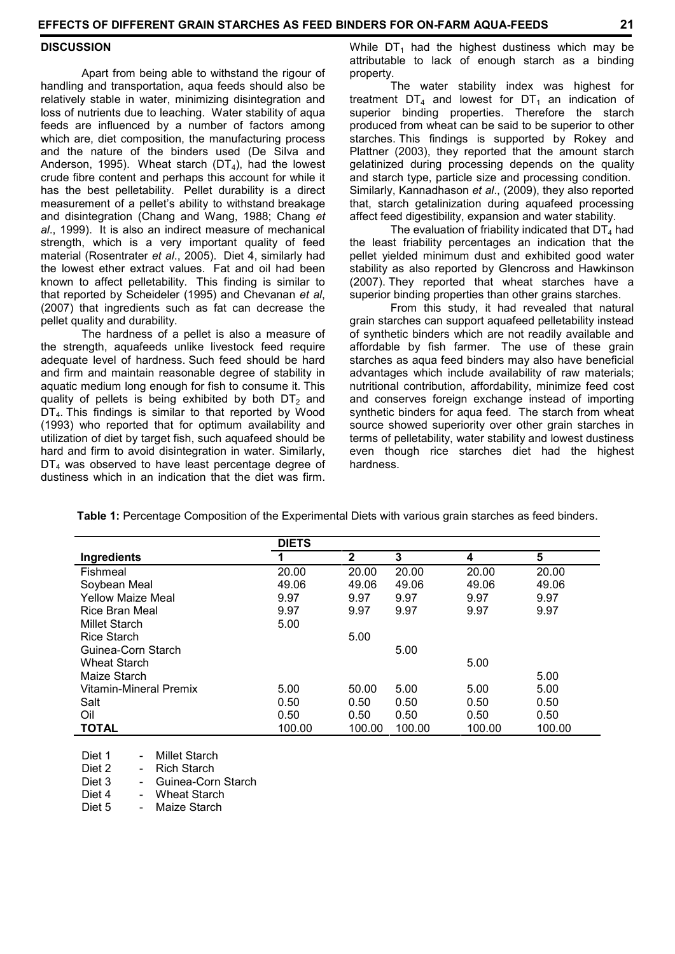#### **DISCUSSION**

Apart from being able to withstand the rigour of handling and transportation, aqua feeds should also be relatively stable in water, minimizing disintegration and loss of nutrients due to leaching. Water stability of aqua feeds are influenced by a number of factors among which are, diet composition, the manufacturing process and the nature of the binders used (De Silva and Anderson, 1995). Wheat starch  $(DT<sub>4</sub>)$ , had the lowest crude fibre content and perhaps this account for while it has the best pelletability. Pellet durability is a direct measurement of a pellet's ability to withstand breakage and disintegration (Chang and Wang, 1988; Chang *et al*., 1999). It is also an indirect measure of mechanical strength, which is a very important quality of feed material (Rosentrater *et al*., 2005). Diet 4, similarly had the lowest ether extract values. Fat and oil had been known to affect pelletability. This finding is similar to that reported by Scheideler (1995) and Chevanan *et al*, (2007) that ingredients such as fat can decrease the pellet quality and durability.

The hardness of a pellet is also a measure of the strength, aquafeeds unlike livestock feed require adequate level of hardness. Such feed should be hard and firm and maintain reasonable degree of stability in aquatic medium long enough for fish to consume it. This quality of pellets is being exhibited by both  $DT<sub>2</sub>$  and  $DT<sub>4</sub>$ . This findings is similar to that reported by Wood (1993) who reported that for optimum availability and utilization of diet by target fish, such aquafeed should be hard and firm to avoid disintegration in water. Similarly,  $DT<sub>4</sub>$  was observed to have least percentage degree of dustiness which in an indication that the diet was firm.

While  $DT_1$  had the highest dustiness which may be attributable to lack of enough starch as a binding property.

The water stability index was highest for treatment  $DT_4$  and lowest for  $DT_1$  an indication of superior binding properties. Therefore the starch produced from wheat can be said to be superior to other starches. This findings is supported by Rokey and Plattner (2003), they reported that the amount starch gelatinized during processing depends on the quality and starch type, particle size and processing condition. Similarly, Kannadhason *et al*., (2009), they also reported that, starch getalinization during aquafeed processing affect feed digestibility, expansion and water stability.

The evaluation of friability indicated that  $DT<sub>4</sub>$  had the least friability percentages an indication that the pellet yielded minimum dust and exhibited good water stability as also reported by Glencross and Hawkinson (2007). They reported that wheat starches have a superior binding properties than other grains starches.

From this study, it had revealed that natural grain starches can support aquafeed pelletability instead of synthetic binders which are not readily available and affordable by fish farmer. The use of these grain starches as aqua feed binders may also have beneficial advantages which include availability of raw materials; nutritional contribution, affordability, minimize feed cost and conserves foreign exchange instead of importing synthetic binders for aqua feed. The starch from wheat source showed superiority over other grain starches in terms of pelletability, water stability and lowest dustiness even though rice starches diet had the highest hardness.

|                          | <b>DIETS</b> |              |        |        |        |
|--------------------------|--------------|--------------|--------|--------|--------|
| Ingredients              |              | $\mathbf{2}$ | 3      | 4      | 5      |
| Fishmeal                 | 20.00        | 20.00        | 20.00  | 20.00  | 20.00  |
| Soybean Meal             | 49.06        | 49.06        | 49.06  | 49.06  | 49.06  |
| <b>Yellow Maize Meal</b> | 9.97         | 9.97         | 9.97   | 9.97   | 9.97   |
| Rice Bran Meal           | 9.97         | 9.97         | 9.97   | 9.97   | 9.97   |
| <b>Millet Starch</b>     | 5.00         |              |        |        |        |
| Rice Starch              |              | 5.00         |        |        |        |
| Guinea-Corn Starch       |              |              | 5.00   |        |        |
| <b>Wheat Starch</b>      |              |              |        | 5.00   |        |
| Maize Starch             |              |              |        |        | 5.00   |
| Vitamin-Mineral Premix   | 5.00         | 50.00        | 5.00   | 5.00   | 5.00   |
| Salt                     | 0.50         | 0.50         | 0.50   | 0.50   | 0.50   |
| Oil                      | 0.50         | 0.50         | 0.50   | 0.50   | 0.50   |
| <b>TOTAL</b>             | 100.00       | 100.00       | 100.00 | 100.00 | 100.00 |

**Table 1:** Percentage Composition of the Experimental Diets with various grain starches as feed binders.

Diet 1 - Millet Starch<br>Diet 2 - Rich Starch Rich Starch Diet 3 - Guinea-Corn Starch

Diet 4 - Wheat Starch

Diet 5 - Maize Starch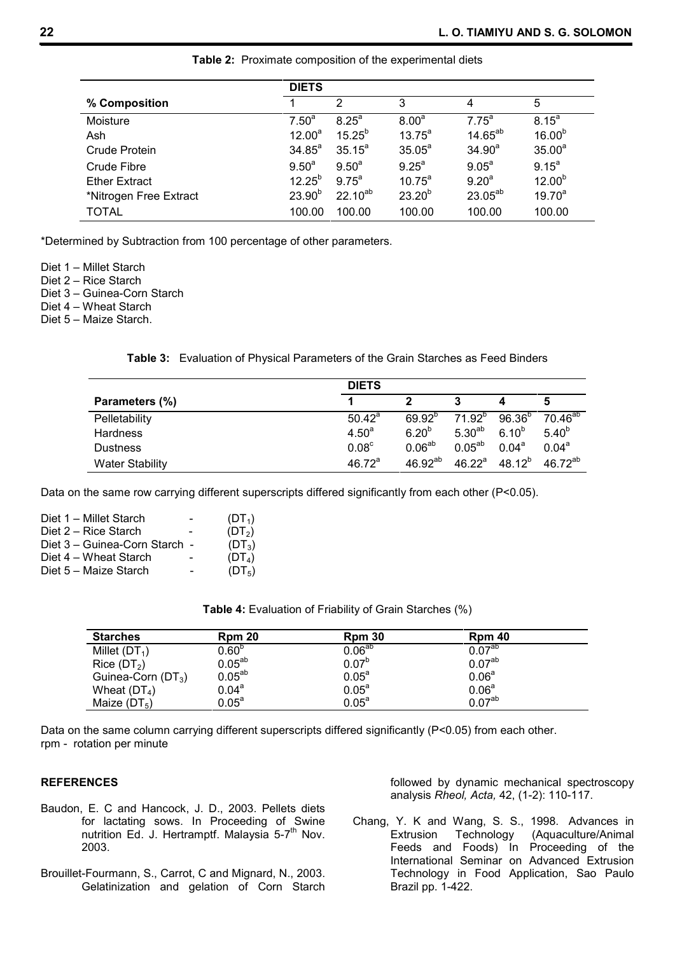|                        | <b>DIETS</b>      |                   |                   |                   |                    |
|------------------------|-------------------|-------------------|-------------------|-------------------|--------------------|
| % Composition          |                   | 2                 | 3                 | 4                 | 5                  |
| Moisture               | 7.50 <sup>a</sup> | 8.25 <sup>a</sup> | 8.00 <sup>a</sup> | 7.75 <sup>a</sup> | $8.15^{a}$         |
| Ash                    | $12.00^a$         | $15.25^{b}$       | $13.75^{\circ}$   | $14.65^{ab}$      | $16.00^{b}$        |
| Crude Protein          | $34.85^a$         | $35.15^a$         | $35.05^a$         | $34.90^a$         | 35.00 <sup>a</sup> |
| Crude Fibre            | $9.50^{a}$        | $9.50^{a}$        | 9.25 <sup>a</sup> | $9.05^{\circ}$    | $9.15^{a}$         |
| <b>Ether Extract</b>   | $12.25^{b}$       | $9.75^{\circ}$    | $10.75^{\circ}$   | 9.20 <sup>a</sup> | $12.00^{b}$        |
| *Nitrogen Free Extract | $23.90^{b}$       | $22.10^{ab}$      | $23.20^{b}$       | $23.05^{ab}$      | $19.70^{a}$        |
| <b>TOTAL</b>           | 100.00            | 100.00            | 100.00            | 100.00            | 100.00             |

**Table 2:** Proximate composition of the experimental diets

\*Determined by Subtraction from 100 percentage of other parameters.

Diet 1 – Millet Starch

Diet 2 – Rice Starch

Diet 3 – Guinea-Corn Starch

Diet 4 – Wheat Starch

Diet 5 – Maize Starch.

**Table 3:** Evaluation of Physical Parameters of the Grain Starches as Feed Binders

|                        | <b>DIETS</b>       |                    |             |             |                |
|------------------------|--------------------|--------------------|-------------|-------------|----------------|
| Parameters (%)         |                    | າ                  |             |             |                |
| Pelletability          | $50.42^a$          | $69.92^{p}$        | $71.92^{p}$ | $96.36^{b}$ | $70.46^{ab}$   |
| <b>Hardness</b>        | 4.50 <sup>a</sup>  | $6.20^{b}$         | $5.30^{ab}$ | $6.10^{b}$  | $5.40^{b}$     |
| <b>Dustness</b>        | 0.08 <sup>c</sup>  | 0.06 <sup>ab</sup> | $0.05^{ab}$ | $0.04^a$    | $0.04^{\circ}$ |
| <b>Water Stability</b> | 46.72 <sup>a</sup> | $46.92^{ab}$       | $46.22^a$   | $48.12^{b}$ | $46.72^{ab}$   |

Data on the same row carrying different superscripts differed significantly from each other (P<0.05).

|                               | $(DT_1)$           |
|-------------------------------|--------------------|
|                               | (DT <sub>2</sub> ) |
| Diet 3 – Guinea-Corn Starch - | $(DT_3)$           |
| $\qquad \qquad \blacksquare$  | (DT <sub>4</sub> ) |
|                               | (DT <sub>5</sub> ) |
|                               |                    |

| <b>Starches</b>         | Rpm 20            | Rpm 30            | <b>Rpm 40</b>      |  |
|-------------------------|-------------------|-------------------|--------------------|--|
| Millet $(DT_1)$         | 0.60 <sup>b</sup> | $0.06^{ab}$       | 0.07 <sup>ab</sup> |  |
| Rice (DT <sub>2</sub> ) | $0.05^{ab}$       | $0.07^{b}$        | $0.07^{\sf ab}$    |  |
| Guinea-Corn $(DT_3)$    | $0.05^{ab}$       | $0.05^a$          | 0.06 <sup>a</sup>  |  |
| Wheat $(DT_4)$          | 0.04 <sup>a</sup> | 0.05 <sup>a</sup> | 0.06 <sup>a</sup>  |  |
| Maize $(DT_5)$          | $0.05^{\text{a}}$ | $0.05^{\text{a}}$ | 0.07 <sup>ab</sup> |  |

Data on the same column carrying different superscripts differed significantly (P<0.05) from each other. rpm - rotation per minute

#### **REFERENCES**

- Baudon, E. C and Hancock, J. D., 2003. Pellets diets for lactating sows. In Proceeding of Swine nutrition Ed. J. Hertramptf. Malaysia 5-7<sup>th</sup> Nov. 2003.
- Brouillet-Fourmann, S., Carrot, C and Mignard, N., 2003. Gelatinization and gelation of Corn Starch

followed by dynamic mechanical spectroscopy analysis *Rheol, Acta,* 42, (1-2): 110-117.

Chang, Y. K and Wang, S. S., 1998. Advances in Extrusion Technology (Aquaculture/Animal Feeds and Foods) In Proceeding of the International Seminar on Advanced Extrusion Technology in Food Application, Sao Paulo Brazil pp. 1-422.